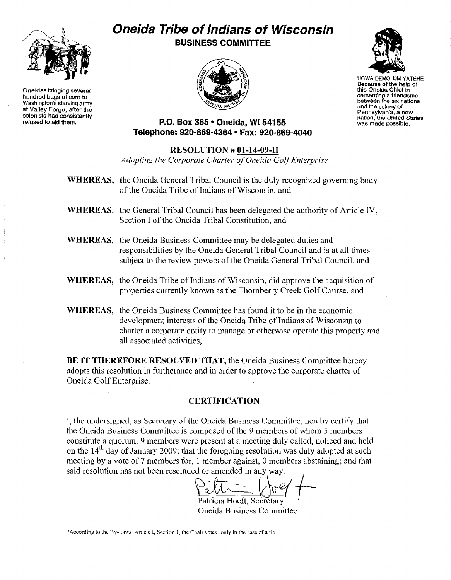

Oneidas bringing several hundred bags of corn to Washington's starving army at Valley Forge. after the colonists had conslstantly refused to aid them.

# **Oneida Tribe of Indians of Wisconsin BUSINESS COMMITTEE**





UGWA OEMOLUM YATEHE BecauSe of the help of this Oneida Chief In cementing a friendship between the six nations and the colony of<br>Pennsylvania, a new nation, the United States<br>was made possible.

# **P.O. Box 365· Oneida,** WI 54155 **Telephone: 920-869-4364 • Fax: 920-869-4040**

#### **RESOLUTION # Ol-14-09-H** *Adopting the Corporate Charter ofOneida GolfEnterprise*

- WHEREAS, the Oneida General Tribal Council is the duly recognized governing body of the Oneida Tribe of Indians of Wisconsin, and
- **WHEREAS,** the General Tribal Council has been delegated the authority of Article IV, Section I of the Oneida Tribal Constitution, and
- **WHEREAS,** the Oneida Business Committee may be delegated duties and responsibilities by the Oneida General Tribal Council and is at all times subject to the review powers of the Oneida General Tribal Council, and
- WHEREAS, the Oneida Tribe of Indians of Wisconsin, did approve the acquisition of properties currently known as the Thornberry Creek Golf Course, and
- **WHEREAS,** the Oneida Business Committee has found it to be in the economic development interests of the Oneida Tribe of Indians of Wisconsin to charter a corporate entity to manage or otherwise operate this property and all associated activities,

**BE IT THEREFORE RESOLVED THAT,** the Oneida Business Committee hereby adopts this resolution in furtherance and in order to approve the corporate charter of Oneida Golf Enterprise.

# **CERTIFICATION**

**I,** the undersigned, as Secretary of the Oneida Business Committee, hereby certify that the Oneida Business Committee is composed of the 9 members of whom 5 members constitute a quorum. 9 members were present at a meeting duly called, noticed and held on the  $14<sup>th</sup>$  day of January 2009: that the foregoing resolution was duly adopted at such meeting by a vote of 7 members for, I member against, 0 members abstaining; and that said resolution has not been rescinded or amended in any way...

 $Palt = (neg +$ 

Patricia Hoeft, Secretary Oneida Business Committee

\*According to the By-Laws, Article I, Section I, the Chair votes "only in the case of a tie."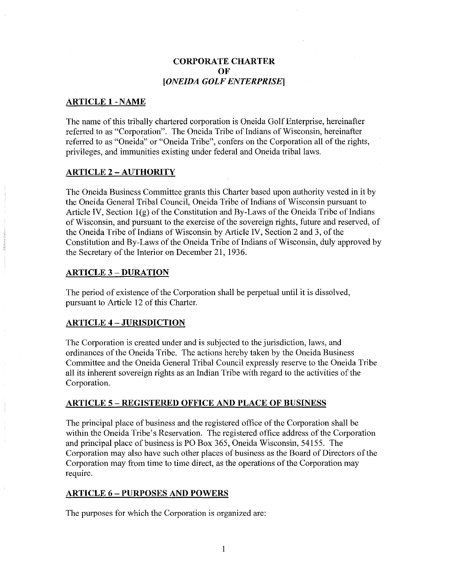# CORPORATE CHARTER **OF** *[ONEIDA GOLF ENTERPRISE]*

### **ARTICLE I-NAME**

The name of this tribally chartered corporation is Oneida Golf Enterprise, hereinafter referred to as "Corporation". The Oneida Tribe of Indians of Wisconsin, hereinafter referred to as "Oneida" or "Oneida Tribe", confers on the Corporation all of the rights, privileges, and immunities existing under federal and Oneida tribal laws.

#### **ARTICLE 2 - AUTHORITY**

The Oneida Business Committee grants this Charter based upon authority vested in it by the Oneida General Tribal Council, Oneida Tribe of Indians of Wisconsin pursuant to Article IV, Section  $I(g)$  of the Constitution and By-Laws of the Oneida Tribe of Indians of Wisconsin, and pursuant to the exercise of the sovereign rights, future and reserved, of the Oneida Tribe of Indians of Wisconsin by Article IV, Section 2 and 3, of the Constitution and By-Laws of the Oneida Tribe of Indians of Wisconsin, duly approved by the Secretary of the Interior on December 21, 1936.

#### **ARTICLE** 3 - **DURATION**

The period of existence of the Corporation shall be perpetual until it is dissolved, pursuant to Article 12 of this Charter.

#### **ARTICLE 4 - JURISDICTION**

The Corporation is created under and is subjected to the jurisdiction, laws, and ordinances of the Oneida Tribe. The actions hereby taken by the Oneida Business Committee and the Oneida General Tribal Council expressly reserve to the Oneida Tribe all its inherent sovereign rights as an Indian Tribe with regard to the activities ofthe Corporation.

#### **ARTICLE** 5 - **REGISTERED OFFICE AND PLACE OF BUSINESS**

The principal place of business and the registered office of the Corporation shall be within the Oneida Tribe's Reservation. The registered office address of the Corporation and principal place of business is PO Box 365, Oneida Wisconsin, 54155. The Corporation may also have such other places of business as the Board of Directors of the Corporation may from time to time direct, as the operations of the Corporation may require.

#### **ARTICLE** 6 - **PURPOSES AND POWERS**

The purposes for which the Corporation is organized are: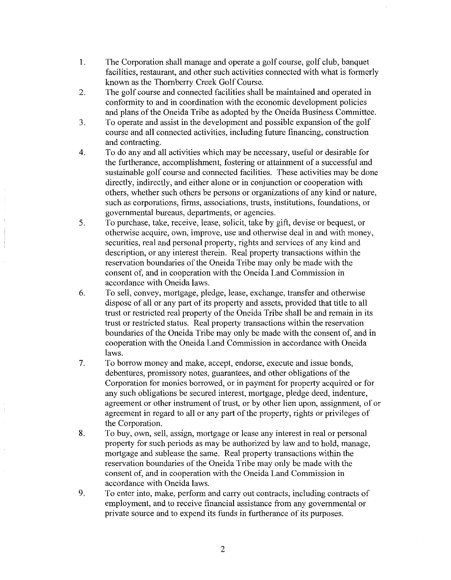- 1. The Corporation shall manage and operate a golf course, golf club, banquet facilities, restaurant, and other such activities connected with what is formerly known as the Thornberry Creek Golf Course.
- 2. The golf course and connected facilities shall be maintained and operated in conformity to and in coordination with the economic development policies and plans of the Oneida Tribe as adopted by the Oneida Business Committee.
- 3. To operate and assist in the development and possible expansion ofthe golf course and all connected activities, including future financing, construction and contracting.
- 4. To do any and all activities which may be necessary, useful or desirable for the furtherance, accomplishment, fostering or attainment of a successful and sustainable golf course and connected facilities. These activities may be done directly, indirectly, and either alone or in conjunction or cooperation with others, whether such others be persons or organizations of any kind or nature, such as corporations, firms, associations, trusts, institutions, foundations, or governmental bureaus, departments, or agencies.
- 5. To purchase, take, receive, lease, solicit, take by gift, devise or bequest, or otherwise acquire, own, improve, use and otherwise deal in and with money, securities, real and personal property, rights and services of any kind and description, or any interest therein. Real property transactions within the reservation boundaries of the Oneida Tribe may only be made with the consent of, and in cooperation with the Oneida Land Commission in accordance with Oneida laws.
- 6. To sell, convey, mortgage, pledge, lease, exchange, transfer and otherwise dispose of all or any part of its property and assets, provided that title to all trust or restricted real property of the Oneida Tribe shall be and remain in its trust or restricted status. Real property transactions within the reservation boundaries of the Oneida Tribe may only be made with the consent of, and in cooperation with the Oneida Land Commission in accordance with Oneida laws.
- 7. To borrow money and make, accept, endorse, execute and issue bonds, debentures, promissory notes, guarantees, and other obligations of the Corporation for monies borrowed, or in payment for property acquired or for any such obligations be secured interest, mortgage, pledge deed, indenture, agreement or other instrument of trust, or by other lien upon, assignment, of or agreement in regard to all or any part of the property, rights or privileges of the Corporation.
- 8. To buy, own, sell, assign, mortgage or lease any interest in real or personal property for such periods as may be authorized by law and to hold, manage, mortgage and sublease the same. Real property transactions within the reservation boundaries of the Oneida Tribe may only be made with the consent of, and in cooperation with the Oneida Land Commission in accordance with Oneida laws.
- 9. To enter into, make, perform and carry out contracts, including contracts of employment, and to receive financial assistance from any governmental or private source and to expend its funds in furtherance of its purposes.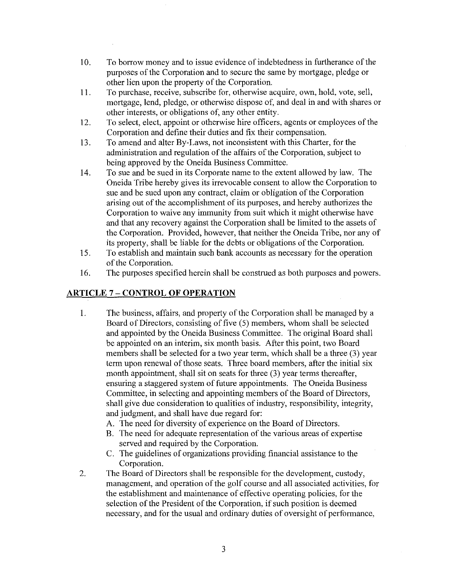- 10. To borrow money and to issue evidence of indebtedness in furtherance of the purposes of the Corporation and to secure the same by mortgage, pledge or other lien upon the property of the Corporation.
- II. To purchase, receive, subscribe for, otherwise acquire, own, hold, vote, sell, mortgage, lend, pledge, or otherwise dispose of, and deal in and with shares or other interests, or obligations of, any other entity.
- 12. To select, elect, appoint or otherwise hire officers, agents or employees of the Corporation and define their duties and fix their compensation.
- 13. To amend and alter By-Laws, not inconsistent with this Charter, for the administration and regulation of the affairs of the Corporation, subject to being approved by the Oneida Business Committee.
- 14. To sue and be sued in its Corporate name to the extent allowed by law. The Oneida Tribe hereby gives its irrevocable consent to allow the Corporation to sue and be sued upon any contract, claim or obligation of the Corporation arising out of the accomplishment of its purposes, and hereby authorizes the Corporation to waive any immunity from suit which it might otherwise have and that any recovery against the Corporation shall be limited to the assets of the Corporation. Provided, however, that neither the Oneida Tribe, nor any of its property, shall be liable for the debts or obligations of the Corporation.
- IS. To establish and maintain such bank accounts as necessary for the operation of the Corporation.
- 16. The purposes specified herein shall be construed as both purposes and powers.

# **ARTICLE** 7 - **CONTROL OF OPERATION**

- 1. The business, affairs, and property of the Corporation shall be managed by a Board of Directors, consisting of five (5) members, whom shall be selected and appointed by the Oneida Business Committee. The original Board shall be appointed on an interim, six month basis. After this point, two Board members shall be selected for a two year term, which shall be a three (3) year term upon renewal of those seats. Three board members, after the initial six month appointment, shall sit on seats for three (3) year terms thereafter, ensuring a staggered system of future appointments. The Oneida Business Committee, in selecting and appointing members of the Board of Directors, shall give due consideration to qualities of industry, responsibility, integrity, and judgment, and shall have due regard for:
	- A. The need for diversity of experience on the Board of Directors.
	- B. The need for adequate representation of the various areas of expertise served and required by the Corporation.
	- C. The guidelines of organizations providing financial assistance to the Corporation.
- 2. The Board of Directors shall be responsible for the development, custody, management, and operation of the golf course and all associated activities, for the establishment and maintenance of effective operating policies, for the selection of the President of the Corporation, if such position is deemed necessary, and for the usual and ordinary duties of oversight of performance,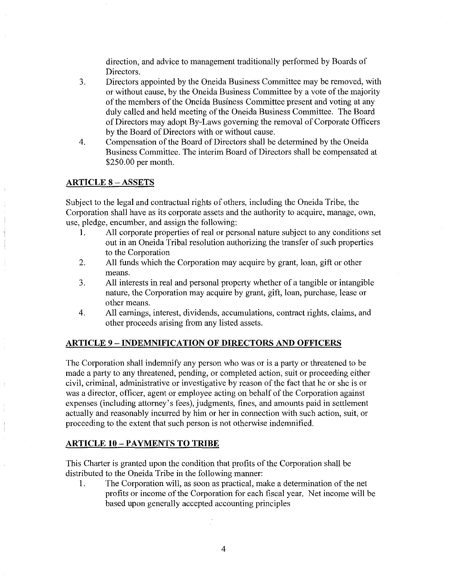direction, and advice to management traditionally performed by Boards of Directors.

- 3. Directors appointed by the Oneida Business Committee may be removed, with or without cause, by the Oneida Business Committee by a vote of the majority of the members of the Oneida Business Committee present and voting at any duly called and held meeting of the Oneida Business Committee. The Board of Directors may adopt By-Laws governing the removal of Corporate Officers by the Board of Directors with or without cause.
- 4. Compensation of the Board of Directors shall be determined by the Oneida Business Committee. The interim Board of Directors shall be compensated at \$250.00 per month.

# **ARTICLE** 8 - ASSETS

Subject to the legal and contractual rights of others, including the Oneida Tribe, the Corporation shall have as its corporate assets and the authority to acquire, manage, own, use, pledge, encumber, and assign the following:

- 1. All corporate properties of real or personal nature subject to any conditions set out in an Oneida Tribal resolution authorizing the transfer of such properties to the Corporation
- 2. All funds which the Corporation may acquire by grant, loan, gift or other means.
- 3. All interests in real and personal property whether of a tangible or intangible nature, the Corporation may acquire by grant, gift, loan, purchase, lease or other means.
- 4. All earnings, interest, dividends, accumulations, contract rights, claims, and other proceeds arising from any listed assets.

# **ARTICLE** 9 - **INDEMNIFICATION OF DIRECTORS AND OFFICERS**

The Corporation shall indemnify any person who was or is a party or threatened to be made a party to any threatened, pending, or completed action, suit or proceeding either civil, criminal, administrative or investigative by reason of the fact that he or she is or was a director, officer, agent or employee acting on behalf of the Corporation against expenses (including attorney's fees), judgments, fines, and amounts paid in settlement actually and reasonably incurred by him or her in connection with such action, suit, or proceeding to the extent that such person is not otherwise indemnified.

# **ARTICLE 10** -PAYMENTS **TO TRIBE**

This Charter is granted upon the condition that profits of the Corporation shall be distributed to the Oneida Tribe in the following manner:

1. The Corporation will, as soon as practical, make a determination of the net profits or income of the Corporation for each fiscal year. Net income will be based upon generally accepted accounting principles